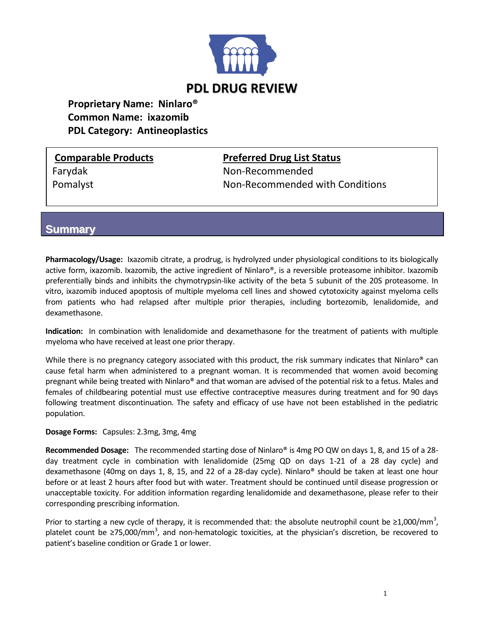

# **Proprietary Name: Ninlaro® Common Name: ixazomib PDL Category: Antineoplastics**

**Comparable Products Preferred Drug List Status** Farydak **Non-Recommended** Pomalyst **Non-Recommended with Conditions** 

## **Summary**

**Pharmacology/Usage:** Ixazomib citrate, a prodrug, is hydrolyzed under physiological conditions to its biologically active form, ixazomib. Ixazomib, the active ingredient of Ninlaro®, is a reversible proteasome inhibitor. Ixazomib preferentially binds and inhibits the chymotrypsin-like activity of the beta 5 subunit of the 20S proteasome. In vitro, ixazomib induced apoptosis of multiple myeloma cell lines and showed cytotoxicity against myeloma cells from patients who had relapsed after multiple prior therapies, including bortezomib, lenalidomide, and dexamethasone.

**Indication:** In combination with lenalidomide and dexamethasone for the treatment of patients with multiple myeloma who have received at least one prior therapy.

While there is no pregnancy category associated with this product, the risk summary indicates that Ninlaro® can cause fetal harm when administered to a pregnant woman. It is recommended that women avoid becoming pregnant while being treated with Ninlaro® and that woman are advised of the potential risk to a fetus. Males and females of childbearing potential must use effective contraceptive measures during treatment and for 90 days following treatment discontinuation. The safety and efficacy of use have not been established in the pediatric population.

#### **Dosage Forms:** Capsules: 2.3mg, 3mg, 4mg

**Recommended Dosage:** The recommended starting dose of Ninlaro® is 4mg PO QW on days 1, 8, and 15 of a 28 day treatment cycle in combination with lenalidomide (25mg QD on days 1-21 of a 28 day cycle) and dexamethasone (40mg on days 1, 8, 15, and 22 of a 28-day cycle). Ninlaro® should be taken at least one hour before or at least 2 hours after food but with water. Treatment should be continued until disease progression or unacceptable toxicity. For addition information regarding lenalidomide and dexamethasone, please refer to their corresponding prescribing information.

Prior to starting a new cycle of therapy, it is recommended that: the absolute neutrophil count be  $\geq$ 1,000/mm<sup>3</sup>, platelet count be ≥75,000/mm<sup>3</sup>, and non-hematologic toxicities, at the physician's discretion, be recovered to patient's baseline condition or Grade 1 or lower.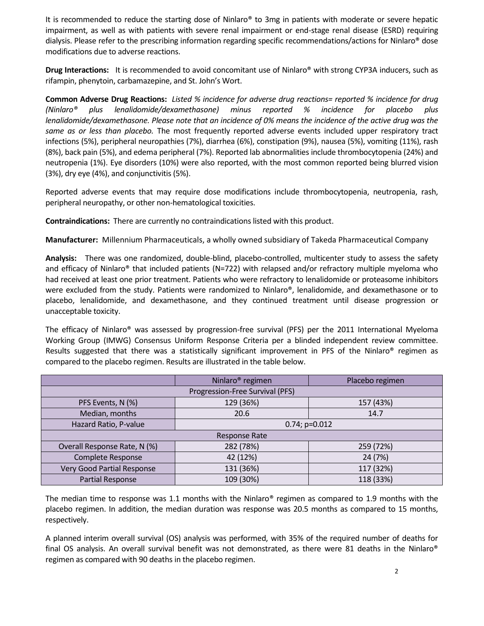It is recommended to reduce the starting dose of Ninlaro<sup>®</sup> to 3mg in patients with moderate or severe hepatic impairment, as well as with patients with severe renal impairment or end-stage renal disease (ESRD) requiring dialysis. Please refer to the prescribing information regarding specific recommendations/actions for Ninlaro® dose modifications due to adverse reactions.

**Drug Interactions:** It is recommended to avoid concomitant use of Ninlaro® with strong CYP3A inducers, such as rifampin, phenytoin, carbamazepine, and St. John's Wort.

**Common Adverse Drug Reactions:** *Listed % incidence for adverse drug reactions= reported % incidence for drug (Ninlaro® plus lenalidomide/dexamethasone) minus reported % incidence for placebo plus lenalidomide/dexamethasone. Please note that an incidence of 0% means the incidence of the active drug was the same as or less than placebo.* The most frequently reported adverse events included upper respiratory tract infections (5%), peripheral neuropathies (7%), diarrhea (6%), constipation (9%), nausea (5%), vomiting (11%), rash (8%), back pain (5%), and edema peripheral (7%). Reported lab abnormalities include thrombocytopenia (24%) and neutropenia (1%). Eye disorders (10%) were also reported, with the most common reported being blurred vision (3%), dry eye (4%), and conjunctivitis (5%).

Reported adverse events that may require dose modifications include thrombocytopenia, neutropenia, rash, peripheral neuropathy, or other non-hematological toxicities.

**Contraindications:** There are currently no contraindications listed with this product.

**Manufacturer:** Millennium Pharmaceuticals, a wholly owned subsidiary of Takeda Pharmaceutical Company

**Analysis:** There was one randomized, double-blind, placebo-controlled, multicenter study to assess the safety and efficacy of Ninlaro<sup>®</sup> that included patients (N=722) with relapsed and/or refractory multiple myeloma who had received at least one prior treatment. Patients who were refractory to lenalidomide or proteasome inhibitors were excluded from the study. Patients were randomized to Ninlaro®, lenalidomide, and dexamethasone or to placebo, lenalidomide, and dexamethasone, and they continued treatment until disease progression or unacceptable toxicity.

The efficacy of Ninlaro® was assessed by progression-free survival (PFS) per the 2011 International Myeloma Working Group (IMWG) Consensus Uniform Response Criteria per a blinded independent review committee. Results suggested that there was a statistically significant improvement in PFS of the Ninlaro® regimen as compared to the placebo regimen. Results are illustrated in the table below.

|                                   | Ninlaro <sup>®</sup> regimen | Placebo regimen |
|-----------------------------------|------------------------------|-----------------|
| Progression-Free Survival (PFS)   |                              |                 |
| PFS Events, N (%)                 | 129 (36%)                    | 157 (43%)       |
| Median, months                    | 20.6                         | 14.7            |
| Hazard Ratio, P-value             | $0.74; p=0.012$              |                 |
| Response Rate                     |                              |                 |
| Overall Response Rate, N (%)      | 282 (78%)                    | 259 (72%)       |
| <b>Complete Response</b>          | 42 (12%)                     | 24 (7%)         |
| <b>Very Good Partial Response</b> | 131 (36%)                    | 117 (32%)       |
| Partial Response                  | 109 (30%)                    | 118 (33%)       |

The median time to response was 1.1 months with the Ninlaro® regimen as compared to 1.9 months with the placebo regimen. In addition, the median duration was response was 20.5 months as compared to 15 months, respectively.

A planned interim overall survival (OS) analysis was performed, with 35% of the required number of deaths for final OS analysis. An overall survival benefit was not demonstrated, as there were 81 deaths in the Ninlaro® regimen as compared with 90 deaths in the placebo regimen.